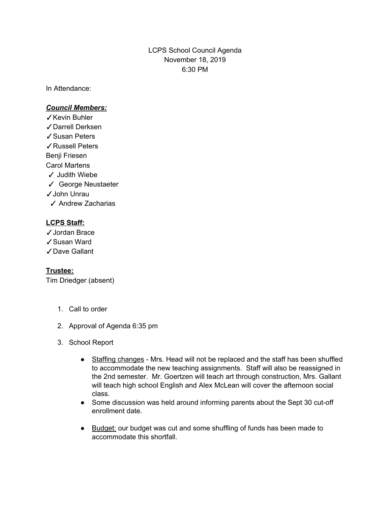## LCPS School Council Agenda November 18, 2019 6:30 PM

In Attendance:

## *Council Members:*

- ✓Kevin Buhler ✓Darrell Derksen ✓Susan Peters ✓Russell Peters Benji Friesen Carol Martens ✓ Judith Wiebe ✓ George Neustaeter ✓John Unrau
	- ✓ Andrew Zacharias

## **LCPS Staff:**

- ✓Jordan Brace
- ✓Susan Ward
- ✓Dave Gallant

## **Trustee:**

Tim Driedger (absent)

- 1. Call to order
- 2. Approval of Agenda 6:35 pm
- 3. School Report
	- Staffing changes Mrs. Head will not be replaced and the staff has been shuffled to accommodate the new teaching assignments. Staff will also be reassigned in the 2nd semester. Mr. Goertzen will teach art through construction, Mrs. Gallant will teach high school English and Alex McLean will cover the afternoon social class.
	- Some discussion was held around informing parents about the Sept 30 cut-off enrollment date.
	- Budget: our budget was cut and some shuffling of funds has been made to accommodate this shortfall.